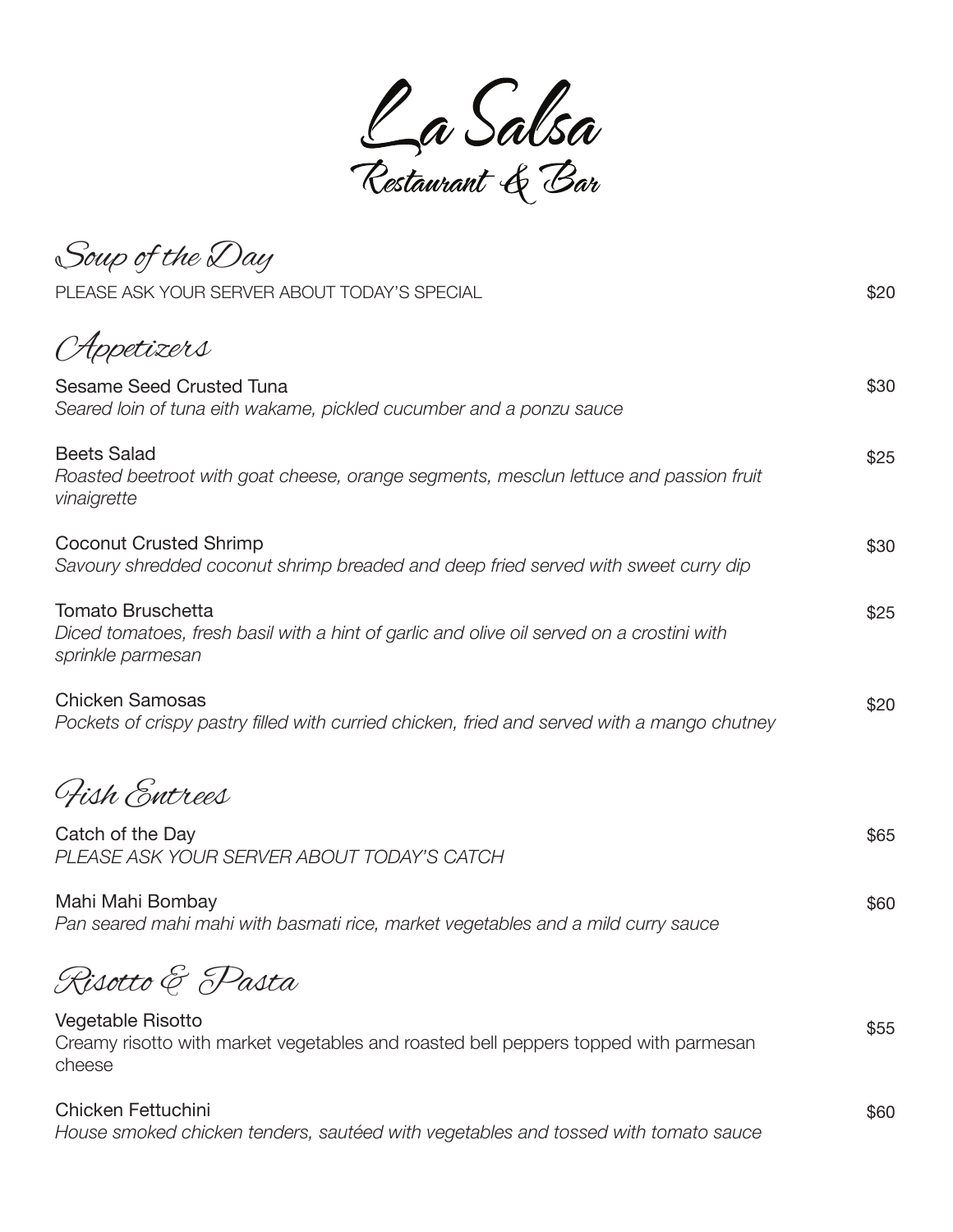

Soup of the Day Appetizers Sesame Seed Crusted Tuna *Seared loin of tuna eith wakame, pickled cucumber and a ponzu sauce* Beets Salad *Roasted beetroot with goat cheese, orange segments, mesclun lettuce and passion fruit vinaigrette* Coconut Crusted Shrimp *Savoury shredded coconut shrimp breaded and deep fried served with sweet curry dip* Tomato Bruschetta *Diced tomatoes, fresh basil with a hint of garlic and olive oil served on a crostini with sprinkle parmesan*  Chicken Samosas *Pockets of crispy pastry filled with curried chicken, fried and served with a mango chutney*  PLEASE ASK YOUR SERVER ABOUT TODAY'S SPECIAL **\$20** \$20 \$30 \$25 \$30 \$25 \$20 Fish Entrees Catch of the Day *PLEASE ASK YOUR SERVER ABOUT TODAY'S CATCH* Mahi Mahi Bombay *Pan seared mahi mahi with basmati rice, market vegetables and a mild curry sauce* \$65 \$60 Risotto & Pasta Vegetable Risotto Creamy risotto with market vegetables and roasted bell peppers topped with parmesan cheese Chicken Fettuchini \$55 \$60

*House smoked chicken tenders, sautéed with vegetables and tossed with tomato sauce*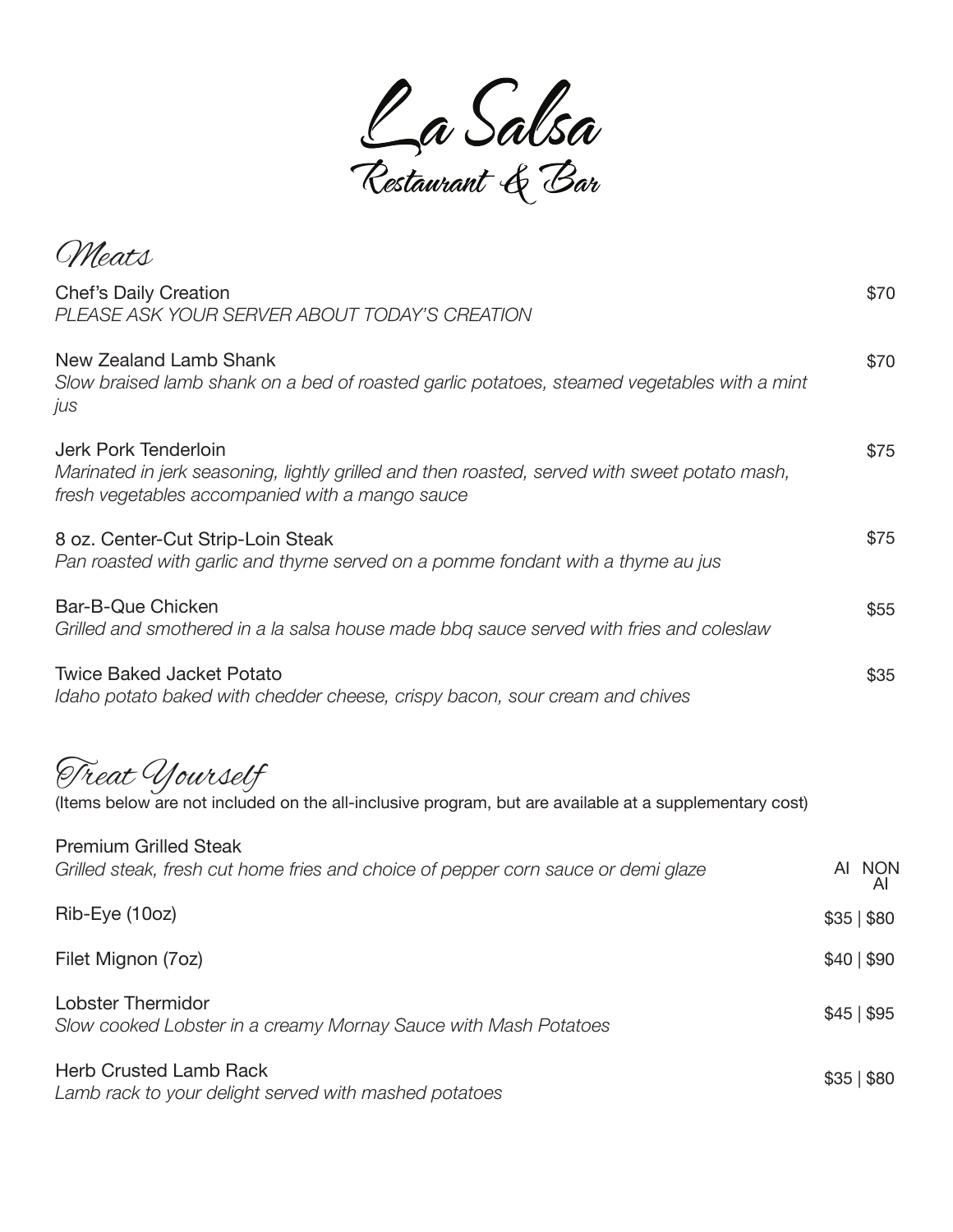

\$70 \$75 \$75 \$55 \$35 Treat Yourself (Items below are not included on the all-inclusive program, but are available at a supplementary cost) Meats Chef's Daily Creation *PLEASE ASK YOUR SERVER ABOUT TODAY'S CREATION* New Zealand Lamb Shank *Slow braised lamb shank on a bed of roasted garlic potatoes, steamed vegetables with a mint jus* Jerk Pork Tenderloin *Marinated in jerk seasoning, lightly grilled and then roasted, served with sweet potato mash, fresh vegetables accompanied with a mango sauce* 8 oz. Center-Cut Strip-Loin Steak *Pan roasted with garlic and thyme served on a pomme fondant with a thyme au jus* Bar-B-Que Chicken *Grilled and smothered in a la salsa house made bbq sauce served with fries and coleslaw* Twice Baked Jacket Potato *Idaho potato baked with chedder cheese, crispy bacon, sour cream and chives* \$70

| <b>Premium Grilled Steak</b><br>Grilled steak, fresh cut home fries and choice of pepper corn sauce or demi glaze | AI NON          |
|-------------------------------------------------------------------------------------------------------------------|-----------------|
| Rib-Eye (10oz)                                                                                                    | $$35 \, \, $80$ |
| Filet Mignon (7oz)                                                                                                | \$40 \$90       |
| <b>Lobster Thermidor</b><br>Slow cooked Lobster in a creamy Mornay Sauce with Mash Potatoes                       | \$45 \$95       |
| <b>Herb Crusted Lamb Rack</b><br>Lamb rack to your delight served with mashed potatoes                            | $$35 \, \, $80$ |

*Lamb rack to your delight served with mashed potatoes*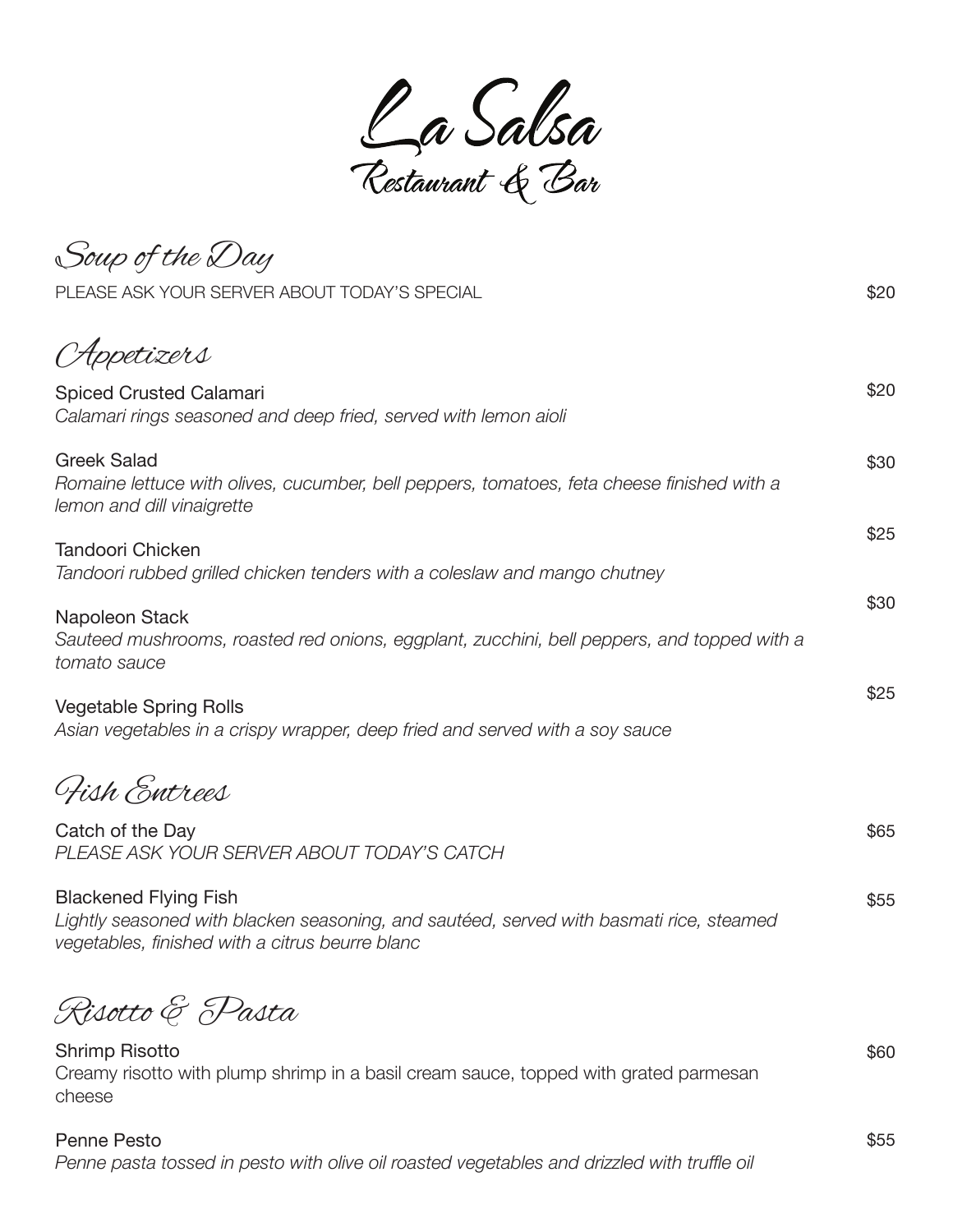

Appetizers Spiced Crusted Calamari *Calamari rings seasoned and deep fried, served with lemon aioli* Greek Salad *Romaine lettuce with olives, cucumber, bell peppers, tomatoes, feta cheese finished with a lemon and dill vinaigrette* Tandoori Chicken *Tandoori rubbed grilled chicken tenders with a coleslaw and mango chutney*  Napoleon Stack *Sauteed mushrooms, roasted red onions, eggplant, zucchini, bell peppers, and topped with a tomato sauce* Vegetable Spring Rolls *Asian vegetables in a crispy wrapper, deep fried and served with a soy sauce*  \$20 \$30 \$25 \$30 \$25 Fish Entrees Catch of the Day *PLEASE ASK YOUR SERVER ABOUT TODAY'S CATCH* Blackened Flying Fish *Lightly seasoned with blacken seasoning, and sautéed, served with basmati rice, steamed vegetables, finished with a citrus beurre blanc*  \$65 \$55 Risotto & Pasta Shrimp Risotto Creamy risotto with plump shrimp in a basil cream sauce, topped with grated parmesan cheese Penne Pesto \$60 Soup of the Day PLEASE ASK YOUR SERVER ABOUT TODAY'S SPECIAL **\$20** \$20

\$55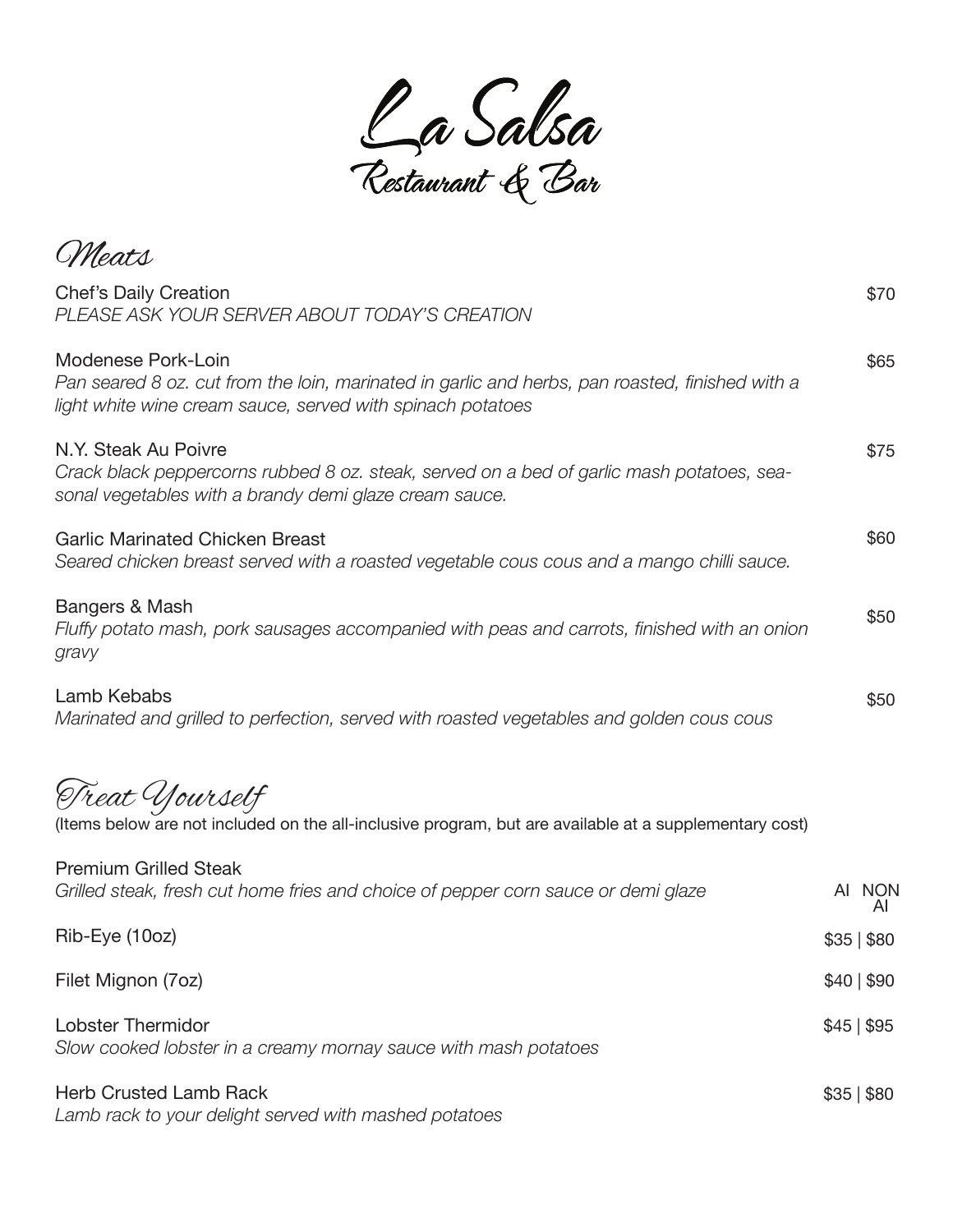

\$65 \$75 \$60 \$50 \$50 Treat Yourself (Items below are not included on the all-inclusive program, but are available at a supplementary cost) Premium Grilled Steak *Grilled steak, fresh cut home fries and choice of pepper corn sauce or demi glaze* Rib-Eye (10oz) Filet Mignon (7oz) Lobster Thermidor *Slow cooked lobster in a creamy mornay sauce with mash potatoes* \$35 | \$80 \$40 | \$90 \$45 | \$95 Meats Chef's Daily Creation *PLEASE ASK YOUR SERVER ABOUT TODAY'S CREATION* Modenese Pork-Loin *Pan seared 8 oz. cut from the loin, marinated in garlic and herbs, pan roasted, finished with a light white wine cream sauce, served with spinach potatoes* N.Y. Steak Au Poivre *Crack black peppercorns rubbed 8 oz. steak, served on a bed of garlic mash potatoes, seasonal vegetables with a brandy demi glaze cream sauce.* Garlic Marinated Chicken Breast *Seared chicken breast served with a roasted vegetable cous cous and a mango chilli sauce.* Bangers & Mash *Fluffy potato mash, pork sausages accompanied with peas and carrots, finished with an onion gravy* Lamb Kebabs *Marinated and grilled to perfection, served with roasted vegetables and golden cous cous* \$70 AI NON AI

\$35 | \$80

Herb Crusted Lamb Rack *Lamb rack to your delight served with mashed potatoes*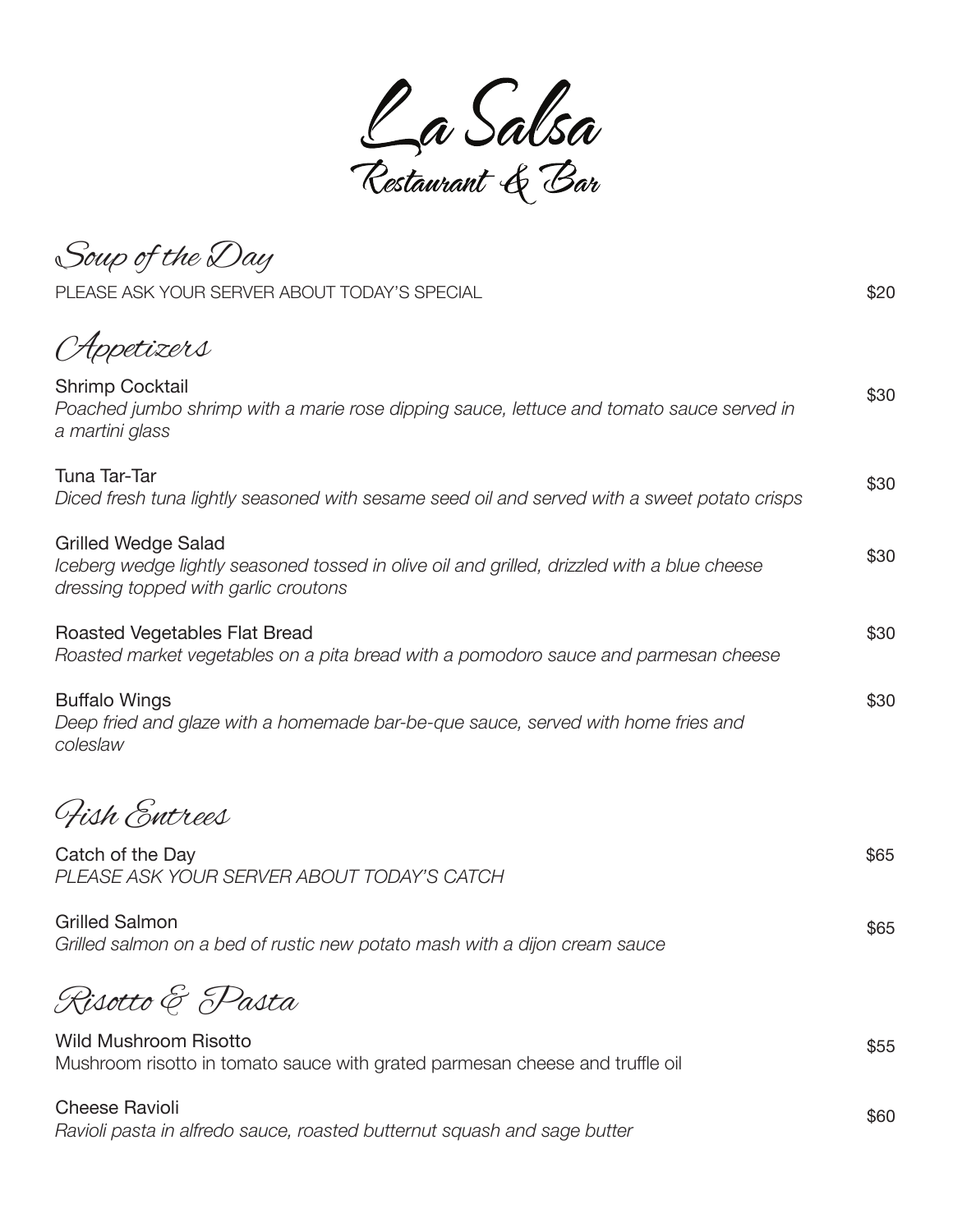Ca Salsa<br>Restaurant & Bar

Soup of the Day Appetizers Shrimp Cocktail *Poached jumbo shrimp with a marie rose dipping sauce, lettuce and tomato sauce served in a martini glass* Tuna Tar-Tar *Diced fresh tuna lightly seasoned with sesame seed oil and served with a sweet potato crisps* Grilled Wedge Salad *Iceberg wedge lightly seasoned tossed in olive oil and grilled, drizzled with a blue cheese dressing topped with garlic croutons* Roasted Vegetables Flat Bread *Roasted market vegetables on a pita bread with a pomodoro sauce and parmesan cheese* Buffalo Wings *Deep fried and glaze with a homemade bar-be-que sauce, served with home fries and coleslaw*  PLEASE ASK YOUR SERVER ABOUT TODAY'S SPECIAL **\$20** \$20 \$30 \$30 \$30 \$30 \$30 Fish Entrees Catch of the Day *PLEASE ASK YOUR SERVER ABOUT TODAY'S CATCH* Grilled Salmon *Grilled salmon on a bed of rustic new potato mash with a dijon cream sauce* \$65 \$65 Risotto & Pasta Wild Mushroom Risotto Mushroom risotto in tomato sauce with grated parmesan cheese and truffle oil Cheese Ravioli \$55 \$60

*Ravioli pasta in alfredo sauce, roasted butternut squash and sage butter*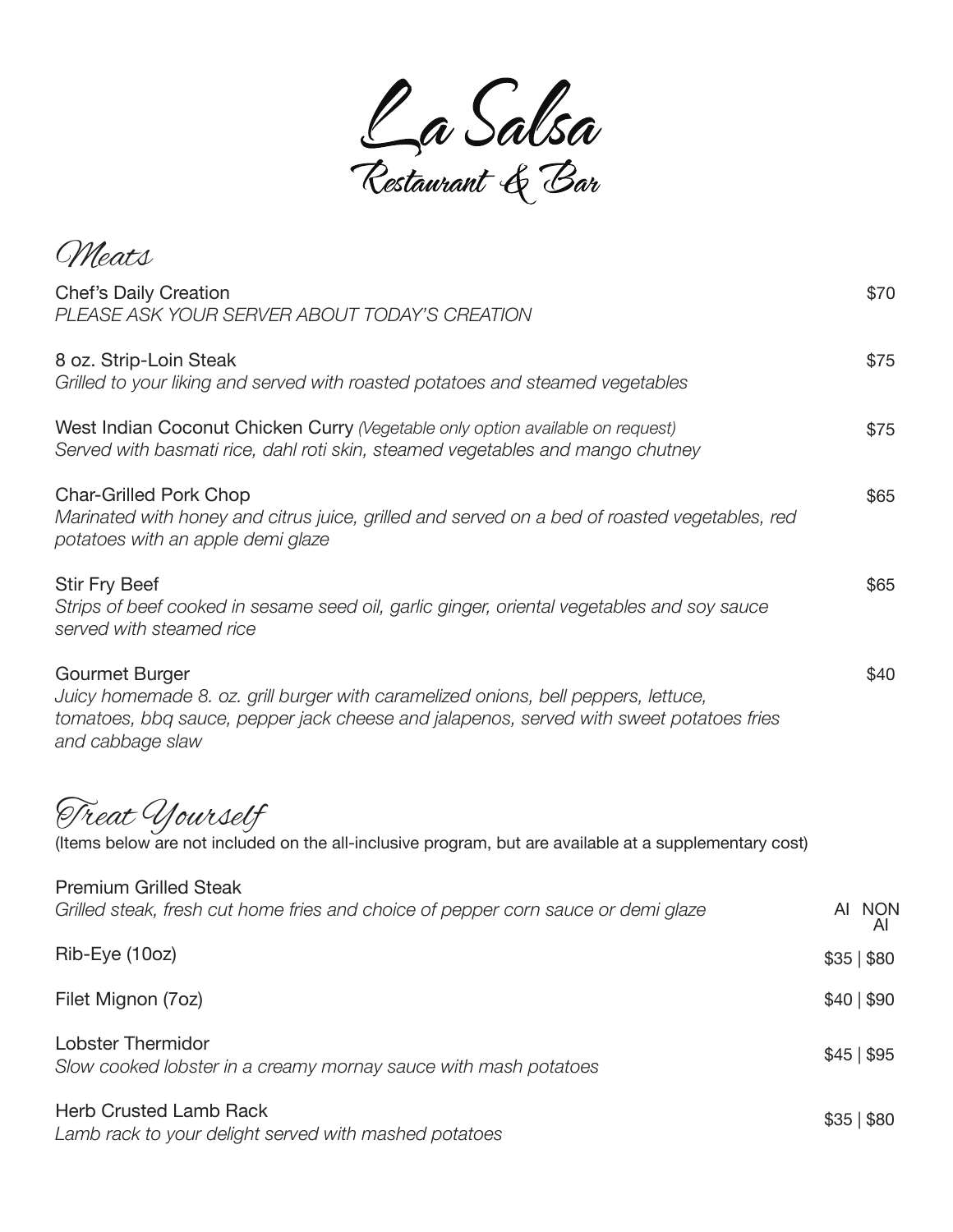

\$75 \$75 \$65 \$65 \$40 Meats Chef's Daily Creation *PLEASE ASK YOUR SERVER ABOUT TODAY'S CREATION* 8 oz. Strip-Loin Steak *Grilled to your liking and served with roasted potatoes and steamed vegetables* West Indian Coconut Chicken Curry *(Vegetable only option available on request) Served with basmati rice, dahl roti skin, steamed vegetables and mango chutney* Char-Grilled Pork Chop *Marinated with honey and citrus juice, grilled and served on a bed of roasted vegetables, red potatoes with an apple demi glaze* Stir Fry Beef *Strips of beef cooked in sesame seed oil, garlic ginger, oriental vegetables and soy sauce served with steamed rice* Gourmet Burger *Juicy homemade 8. oz. grill burger with caramelized onions, bell peppers, lettuce, tomatoes, bbq sauce, pepper jack cheese and jalapenos, served with sweet potatoes fries and cabbage slaw* \$70

Treat Yourself

(Items below are not included on the all-inclusive program, but are available at a supplementary cost)

| <b>Premium Grilled Steak</b><br>Grilled steak, fresh cut home fries and choice of pepper corn sauce or demi glaze | AI NON          |
|-------------------------------------------------------------------------------------------------------------------|-----------------|
| Rib-Eye (10oz)                                                                                                    | \$35 \$80       |
| Filet Mignon (7oz)                                                                                                | \$40 \$90       |
| <b>Lobster Thermidor</b><br>Slow cooked lobster in a creamy mornay sauce with mash potatoes                       | \$45 \$95       |
| <b>Herb Crusted Lamb Rack</b><br>Lamb rack to your delight served with mashed potatoes                            | $$35 \, \, $80$ |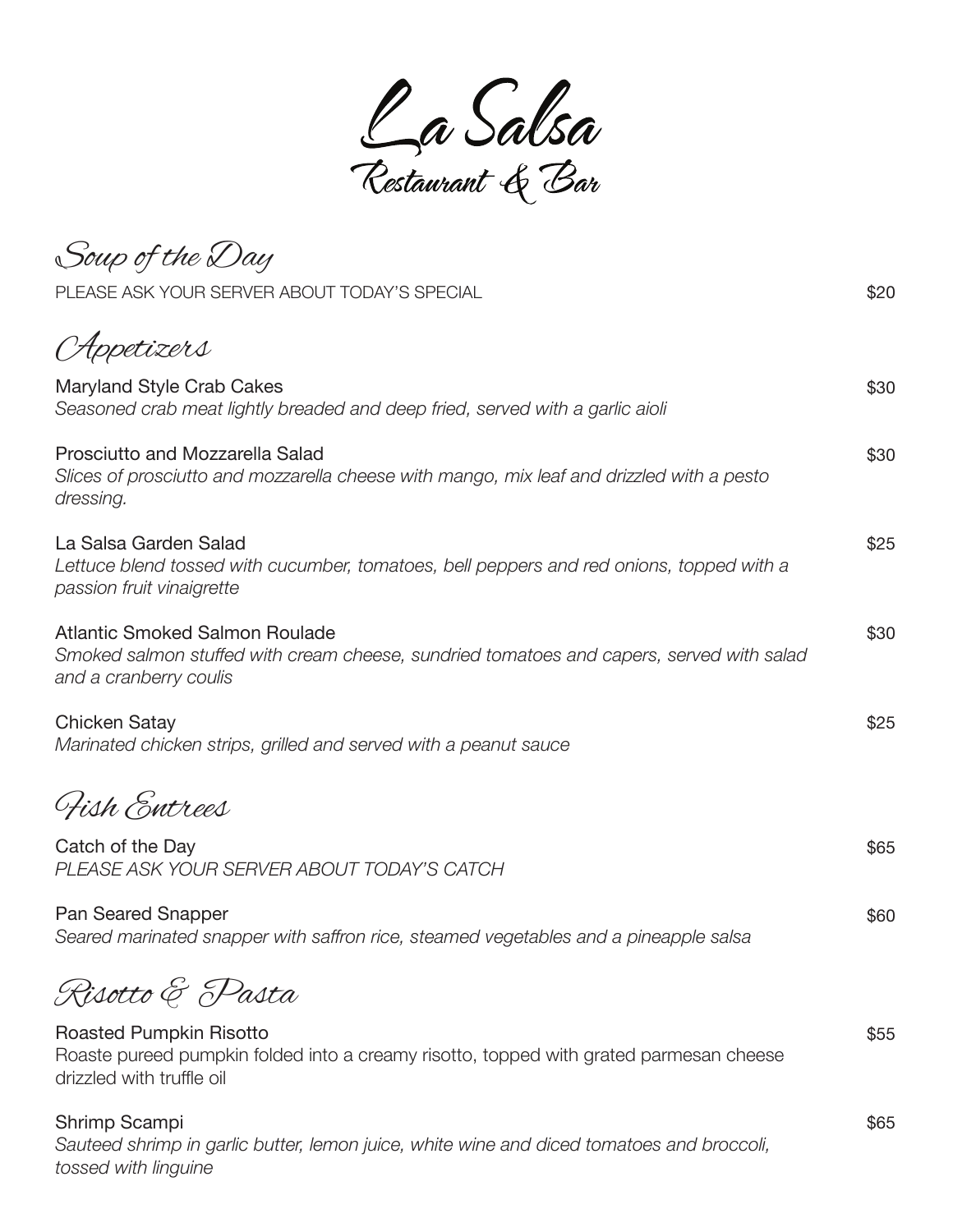Ca Salsa<br>Restaurant & Bar

Soup of the Day Appetizers Maryland Style Crab Cakes *Seasoned crab meat lightly breaded and deep fried, served with a garlic aioli*  Prosciutto and Mozzarella Salad *Slices of prosciutto and mozzarella cheese with mango, mix leaf and drizzled with a pesto dressing.* La Salsa Garden Salad *Lettuce blend tossed with cucumber, tomatoes, bell peppers and red onions, topped with a passion fruit vinaigrette*  Atlantic Smoked Salmon Roulade *Smoked salmon stuffed with cream cheese, sundried tomatoes and capers, served with salad and a cranberry coulis* Chicken Satay *Marinated chicken strips, grilled and served with a peanut sauce*  PLEASE ASK YOUR SERVER ABOUT TODAY'S SPECIAL **\$20** \$20 \$30 \$30 \$25 \$30 \$25 Fish Entrees Catch of the Day *PLEASE ASK YOUR SERVER ABOUT TODAY'S CATCH* Pan Seared Snapper *Seared marinated snapper with saffron rice, steamed vegetables and a pineapple salsa* \$65 \$60 Risotto & Pasta Roasted Pumpkin Risotto Roaste pureed pumpkin folded into a creamy risotto, topped with grated parmesan cheese drizzled with truffle oil Shrimp Scampi \$55 \$65

*Sauteed shrimp in garlic butter, lemon juice, white wine and diced tomatoes and broccoli, tossed with linguine*